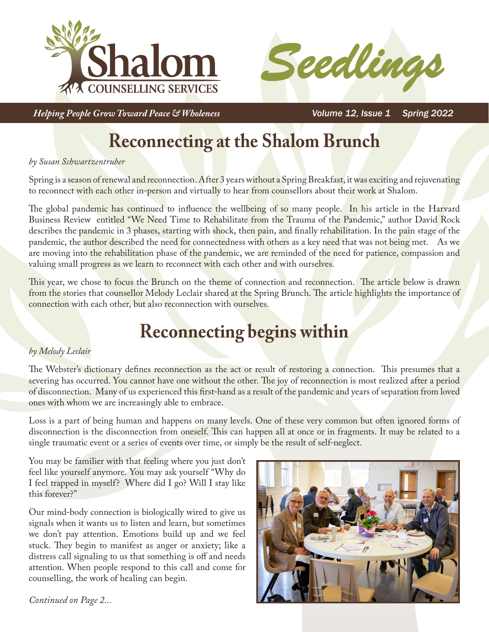



 *Helping People Grow Toward Peace & Wholeness Volume 12, Issue 1 Spring 2022*

# **Reconnecting at the Shalom Brunch**

#### *by Susan Schwartzentruber*

Spring is a season of renewal and reconnection. After 3 years without a Spring Breakfast, it was exciting and rejuvenating to reconnect with each other in-person and virtually to hear from counsellors about their work at Shalom.

The global pandemic has continued to influence the wellbeing of so many people. In his article in the Harvard Business Review entitled "We Need Time to Rehabilitate from the Trauma of the Pandemic," author David Rock describes the pandemic in 3 phases, starting with shock, then pain, and finally rehabilitation. In the pain stage of the pandemic, the author described the need for connectedness with others as a key need that was not being met. As we are moving into the rehabilitation phase of the pandemic, we are reminded of the need for patience, compassion and valuing small progress as we learn to reconnect with each other and with ourselves.

This year, we chose to focus the Brunch on the theme of connection and reconnection. The article below is drawn from the stories that counsellor Melody Leclair shared at the Spring Brunch. The article highlights the importance of connection with each other, but also reconnection with ourselves.

### **Reconnecting begins within**

#### *by Melody Leclair*

The Webster's dictionary defines reconnection as the act or result of restoring a connection. This presumes that a severing has occurred. You cannot have one without the other. The joy of reconnection is most realized after a period of disconnection. Many of us experienced this first-hand as a result of the pandemic and years of separation from loved ones with whom we are increasingly able to embrace.

Loss is a part of being human and happens on many levels. One of these very common but often ignored forms of disconnection is the disconnection from oneself. This can happen all at once or in fragments. It may be related to a single traumatic event or a series of events over time, or simply be the result of self-neglect.

You may be familier with that feeling where you just don't feel like yourself anymore. You may ask yourself "Why do I feel trapped in myself? Where did I go? Will I stay like this forever?"

Our mind-body connection is biologically wired to give us signals when it wants us to listen and learn, but sometimes we don't pay attention. Emotions build up and we feel stuck. They begin to manifest as anger or anxiety; like a distress call signaling to us that something is off and needs attention. When people respond to this call and come for counselling, the work of healing can begin.



*Continued on Page 2...*